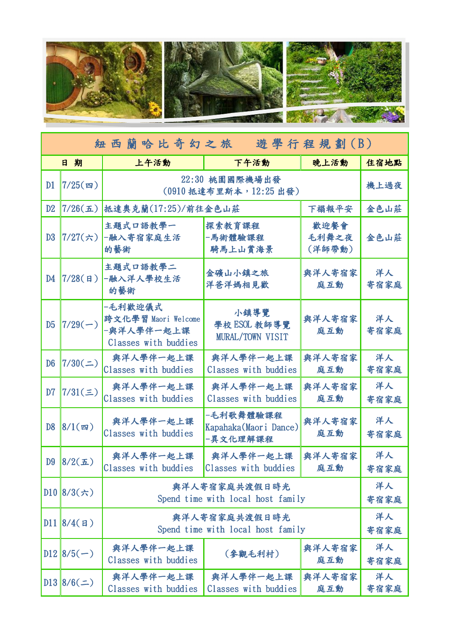

| 紐西蘭哈比奇幻之旅 遊學行程規劃(B) |                                       |                                                                      |                                                |                         |            |  |  |
|---------------------|---------------------------------------|----------------------------------------------------------------------|------------------------------------------------|-------------------------|------------|--|--|
|                     | 日期                                    | 上午活動                                                                 | 下午活動                                           | 晚上活動                    | 住宿地點       |  |  |
| D1                  | $7/25($ 四)                            | 22:30 桃園國際機場出發<br>(0910 抵達布里斯本, 12:25 出發)                            | 機上過夜                                           |                         |            |  |  |
| D <sub>2</sub>      | $7/26(\underline{\textbf{L}})$        | 抵達奧克蘭(17:25)/前往金色山莊                                                  | 下榻報平安                                          | 金色山莊                    |            |  |  |
| D <sub>3</sub>      | $7/27(\pi)$                           | 主題式口語教學一<br>一融入寄宿家庭生活<br>的藝術                                         | 探索教育課程<br>-馬術體驗課程<br>騎馬上山賞海景                   | 歡迎餐會<br>毛利舞之夜<br>(洋師帶動) | 金色山莊       |  |  |
| D <sub>4</sub>      | $7/28($ B)                            | 主題式口語教學二<br>-融入洋人學校生活<br>的藝術                                         | 金礦山小鎮之旅<br>洋爸洋媽相見歡                             | 與洋人寄宿家<br>庭互動           | 洋人<br>寄宿家庭 |  |  |
| D <sub>5</sub>      | $7/29(-)$                             | -毛利歡迎儀式<br>跨文化學習 Maori Welcome<br>-與洋人學伴一起上課<br>Classes with buddies | 小鎮導覽<br>學校 ESOL 教師導覽<br>MURAL/TOWN VISIT       | 與洋人寄宿家<br>庭互動           | 洋人<br>寄宿家庭 |  |  |
| D <sub>6</sub>      | 7/30(                                 | 與洋人學伴一起上課<br>Classes with buddies                                    | 與洋人學伴一起上課<br>Classes with buddies              | 與洋人寄宿家<br>庭互動           | 洋人<br>寄宿家庭 |  |  |
| D <sub>7</sub>      | $7/31(\equiv)$                        | 與洋人學伴一起上課<br>Classes with buddies                                    | 與洋人學伴一起上課<br>Classes with buddies              | 與洋人寄宿家<br>庭互動           | 洋人<br>寄宿家庭 |  |  |
| D <sub>8</sub>      | $8/1$ (四)                             | 與洋人學伴一起上課<br>Classes with buddies                                    | -毛利歌舞體驗課程<br>Kapahaka(Maori Dance)<br>-異文化理解課程 | 與洋人寄宿家<br>庭互動           | 洋人<br>寄宿家庭 |  |  |
| D <sub>9</sub>      | $8/2(\mathbf{\mathbf{\overline{L}}})$ | 與洋人學伴一起上課<br>Classes with buddies                                    | 與洋人學伴一起上課<br>Classes with buddies              | 與洋人寄宿家<br>庭互動           | 洋人<br>寄宿家庭 |  |  |
|                     | $D10 8/3(\pi)$                        | 與洋人寄宿家庭共渡假日時光<br>Spend time with local host family                   | 洋人<br>寄宿家庭                                     |                         |            |  |  |
|                     | D11 8/4(H)                            | 與洋人寄宿家庭共渡假日時光<br>Spend time with local host family                   | 洋人<br>寄宿家庭                                     |                         |            |  |  |
|                     | $D12 8/5(-)$                          | 與洋人學伴一起上課<br>Classes with buddies                                    | (參觀毛利村)                                        | 與洋人寄宿家<br>庭互動           | 洋人<br>寄宿家庭 |  |  |
|                     | $D13 8/6(\pm)$                        | 與洋人學伴一起上課<br>Classes with buddies                                    | 與洋人學伴一起上課<br>Classes with buddies              | 與洋人寄宿家<br>庭互動           | 洋人<br>寄宿家庭 |  |  |